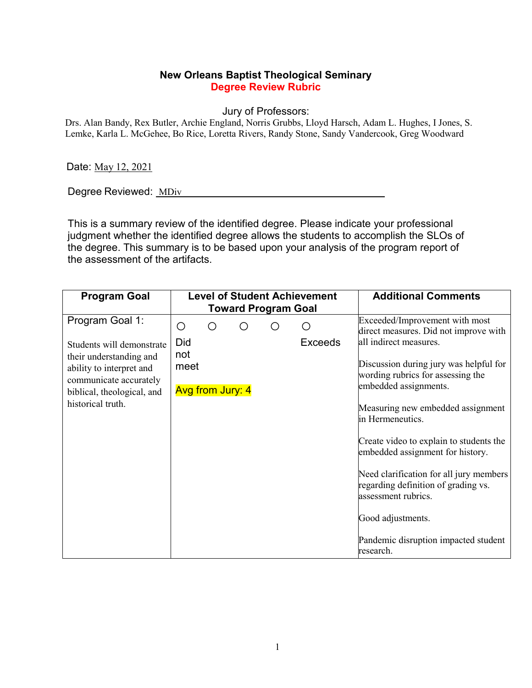## **New Orleans Baptist Theological Seminary Degree Review Rubric**

Jury of Professors:

Drs. Alan Bandy, Rex Butler, Archie England, Norris Grubbs, Lloyd Harsch, Adam L. Hughes, I Jones, S. Lemke, Karla L. McGehee, Bo Rice, Loretta Rivers, Randy Stone, Sandy Vandercook, Greg Woodward

Date: May 12, 2021

Degree Reviewed: MDiv

This is a summary review of the identified degree. Please indicate your professional judgment whether the identified degree allows the students to accomplish the SLOs of the degree. This summary is to be based upon your analysis of the program report of the assessment of the artifacts.

| <b>Program Goal</b>                                                                                         |                                 |    | <b>Level of Student Achievement</b><br><b>Toward Program Goal</b> | <b>Additional Comments</b> |                                                                                                       |
|-------------------------------------------------------------------------------------------------------------|---------------------------------|----|-------------------------------------------------------------------|----------------------------|-------------------------------------------------------------------------------------------------------|
| Program Goal 1:                                                                                             | О                               | () |                                                                   |                            | Exceeded/Improvement with most<br>direct measures. Did not improve with                               |
| Students will demonstrate                                                                                   | Did<br>not                      |    |                                                                   | <b>Exceeds</b>             | all indirect measures.                                                                                |
| their understanding and<br>ability to interpret and<br>communicate accurately<br>biblical, theological, and | meet<br><b>Avg from Jury: 4</b> |    |                                                                   |                            | Discussion during jury was helpful for<br>wording rubrics for assessing the<br>embedded assignments.  |
| historical truth.                                                                                           |                                 |    |                                                                   |                            | Measuring new embedded assignment<br>in Hermeneutics.                                                 |
|                                                                                                             |                                 |    |                                                                   |                            | Create video to explain to students the<br>embedded assignment for history.                           |
|                                                                                                             |                                 |    |                                                                   |                            | Need clarification for all jury members<br>regarding definition of grading vs.<br>assessment rubrics. |
|                                                                                                             |                                 |    |                                                                   |                            | Good adjustments.                                                                                     |
|                                                                                                             |                                 |    |                                                                   |                            | Pandemic disruption impacted student<br>research.                                                     |